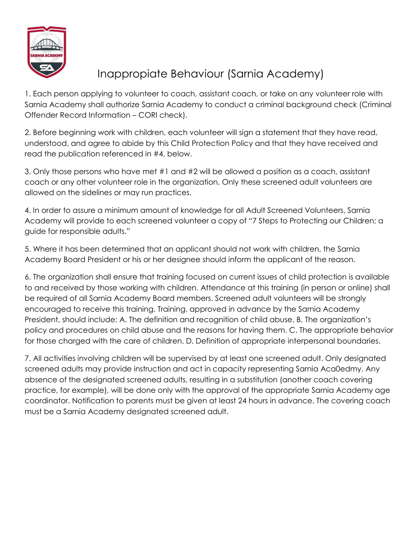

## Inappropiate Behaviour (Sarnia Academy)

1. Each person applying to volunteer to coach, assistant coach, or take on any volunteer role with Sarnia Academy shall authorize Sarnia Academy to conduct a criminal background check (Criminal Offender Record Information – CORI check).

2. Before beginning work with children, each volunteer will sign a statement that they have read, understood, and agree to abide by this Child Protection Policy and that they have received and read the publication referenced in #4, below.

3. Only those persons who have met #1 and #2 will be allowed a position as a coach, assistant coach or any other volunteer role in the organization. Only these screened adult volunteers are allowed on the sidelines or may run practices.

4. In order to assure a minimum amount of knowledge for all Adult Screened Volunteers, Sarnia Academy will provide to each screened volunteer a copy of "7 Steps to Protecting our Children; a guide for responsible adults."

5. Where it has been determined that an applicant should not work with children, the Sarnia Academy Board President or his or her designee should inform the applicant of the reason.

6. The organization shall ensure that training focused on current issues of child protection is available to and received by those working with children. Attendance at this training (in person or online) shall be required of all Sarnia Academy Board members. Screened adult volunteers will be strongly encouraged to receive this training. Training, approved in advance by the Sarnia Academy President, should include: A. The definition and recognition of child abuse. B. The organization's policy and procedures on child abuse and the reasons for having them. C. The appropriate behavior for those charged with the care of children. D. Definition of appropriate interpersonal boundaries.

7. All activities involving children will be supervised by at least one screened adult. Only designated screened adults may provide instruction and act in capacity representing Sarnia Aca0edmy. Any absence of the designated screened adults, resulting in a substitution (another coach covering practice, for example), will be done only with the approval of the appropriate Sarnia Academy age coordinator. Notification to parents must be given at least 24 hours in advance. The covering coach must be a Sarnia Academy designated screened adult.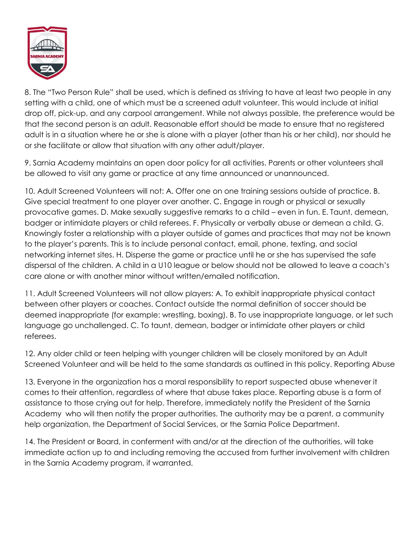

8. The "Two Person Rule" shall be used, which is defined as striving to have at least two people in any setting with a child, one of which must be a screened adult volunteer. This would include at initial drop off, pick-up, and any carpool arrangement. While not always possible, the preference would be that the second person is an adult. Reasonable effort should be made to ensure that no registered adult is in a situation where he or she is alone with a player (other than his or her child), nor should he or she facilitate or allow that situation with any other adult/player.

9. Sarnia Academy maintains an open door policy for all activities. Parents or other volunteers shall be allowed to visit any game or practice at any time announced or unannounced.

10. Adult Screened Volunteers will not: A. Offer one on one training sessions outside of practice. B. Give special treatment to one player over another. C. Engage in rough or physical or sexually provocative games. D. Make sexually suggestive remarks to a child – even in fun. E. Taunt, demean, badger or intimidate players or child referees. F. Physically or verbally abuse or demean a child. G. Knowingly foster a relationship with a player outside of games and practices that may not be known to the player's parents. This is to include personal contact, email, phone, texting, and social networking internet sites. H. Disperse the game or practice until he or she has supervised the safe dispersal of the children. A child in a U10 league or below should not be allowed to leave a coach's care alone or with another minor without written/emailed notification.

11. Adult Screened Volunteers will not allow players: A. To exhibit inappropriate physical contact between other players or coaches. Contact outside the normal definition of soccer should be deemed inappropriate (for example: wrestling, boxing). B. To use inappropriate language, or let such language go unchallenged. C. To taunt, demean, badger or intimidate other players or child referees.

12. Any older child or teen helping with younger children will be closely monitored by an Adult Screened Volunteer and will be held to the same standards as outlined in this policy. Reporting Abuse

13. Everyone in the organization has a moral responsibility to report suspected abuse whenever it comes to their attention, regardless of where that abuse takes place. Reporting abuse is a form of assistance to those crying out for help. Therefore, immediately notify the President of the Sarnia Academy who will then notify the proper authorities. The authority may be a parent, a community help organization, the Department of Social Services, or the Sarnia Police Department.

14. The President or Board, in conferment with and/or at the direction of the authorities, will take immediate action up to and including removing the accused from further involvement with children in the Sarnia Academy program, if warranted.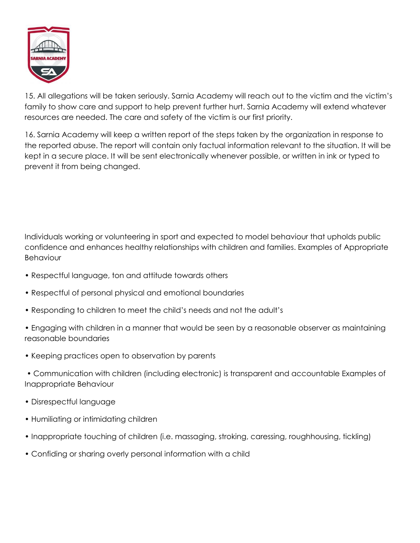

15. All allegations will be taken seriously. Sarnia Academy will reach out to the victim and the victim's family to show care and support to help prevent further hurt. Sarnia Academy will extend whatever resources are needed. The care and safety of the victim is our first priority.

16. Sarnia Academy will keep a written report of the steps taken by the organization in response to the reported abuse. The report will contain only factual information relevant to the situation. It will be kept in a secure place. It will be sent electronically whenever possible, or written in ink or typed to prevent it from being changed.

Individuals working or volunteering in sport and expected to model behaviour that upholds public confidence and enhances healthy relationships with children and families. Examples of Appropriate Behaviour

- Respectful language, ton and attitude towards others
- Respectful of personal physical and emotional boundaries
- Responding to children to meet the child's needs and not the adult's
- Engaging with children in a manner that would be seen by a reasonable observer as maintaining reasonable boundaries
- Keeping practices open to observation by parents
- Communication with children (including electronic) is transparent and accountable Examples of Inappropriate Behaviour
- Disrespectful language
- Humiliating or intimidating children
- Inappropriate touching of children (i.e. massaging, stroking, caressing, roughhousing, tickling)
- Confiding or sharing overly personal information with a child